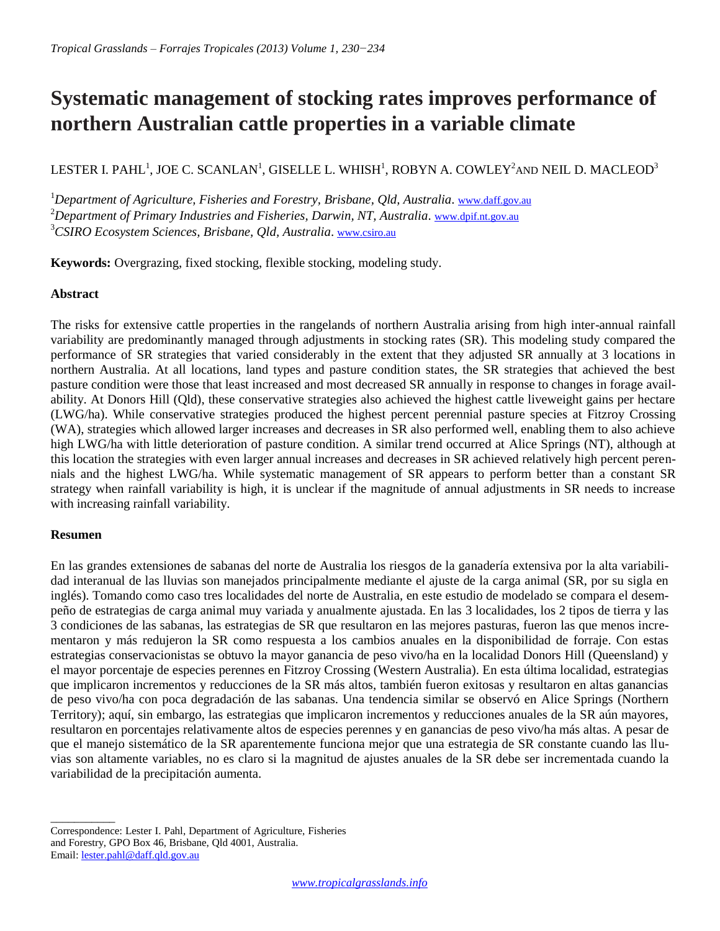# **Systematic management of stocking rates improves performance of northern Australian cattle properties in a variable climate**

LESTER I. PAHL $^1$ , JOE C. SCANLAN $^1$ , GISELLE L. WHISH $^1$ , ROBYN A. COWLEY $^2$ and NEIL D. MACLEOD $^3$ 

<sup>1</sup>*Department of Agriculture, Fisheries and Forestry, Brisbane, Qld, Australia*. [www.daff.gov.au](http://www.daff.gov.au/) <sup>2</sup>*Department of Primary Industries and Fisheries, Darwin, NT, Australia*. [www.dpif.nt.gov.au](http://www.dpif.nt.gov.au/) <sup>3</sup>*CSIRO Ecosystem Sciences, Brisbane, Qld, Australia*. [www.csiro.au](http://www.csiro.au/Organisation-Structure/Divisions/Ecosystem-Sciences) 

**Keywords:** Overgrazing, fixed stocking, flexible stocking, modeling study.

# **Abstract**

The risks for extensive cattle properties in the rangelands of northern Australia arising from high inter-annual rainfall variability are predominantly managed through adjustments in stocking rates (SR). This modeling study compared the performance of SR strategies that varied considerably in the extent that they adjusted SR annually at 3 locations in northern Australia. At all locations, land types and pasture condition states, the SR strategies that achieved the best pasture condition were those that least increased and most decreased SR annually in response to changes in forage availability. At Donors Hill (Qld), these conservative strategies also achieved the highest cattle liveweight gains per hectare (LWG/ha). While conservative strategies produced the highest percent perennial pasture species at Fitzroy Crossing (WA), strategies which allowed larger increases and decreases in SR also performed well, enabling them to also achieve high LWG/ha with little deterioration of pasture condition. A similar trend occurred at Alice Springs (NT), although at this location the strategies with even larger annual increases and decreases in SR achieved relatively high percent perennials and the highest LWG/ha. While systematic management of SR appears to perform better than a constant SR strategy when rainfall variability is high, it is unclear if the magnitude of annual adjustments in SR needs to increase with increasing rainfall variability.

# **Resumen**

En las grandes extensiones de sabanas del norte de Australia los riesgos de la ganadería extensiva por la alta variabilidad interanual de las lluvias son manejados principalmente mediante el ajuste de la carga animal (SR, por su sigla en inglés). Tomando como caso tres localidades del norte de Australia, en este estudio de modelado se compara el desempeño de estrategias de carga animal muy variada y anualmente ajustada. En las 3 localidades, los 2 tipos de tierra y las 3 condiciones de las sabanas, las estrategias de SR que resultaron en las mejores pasturas, fueron las que menos incrementaron y más redujeron la SR como respuesta a los cambios anuales en la disponibilidad de forraje. Con estas estrategias conservacionistas se obtuvo la mayor ganancia de peso vivo/ha en la localidad Donors Hill (Queensland) y el mayor porcentaje de especies perennes en Fitzroy Crossing (Western Australia). En esta última localidad, estrategias que implicaron incrementos y reducciones de la SR más altos, también fueron exitosas y resultaron en altas ganancias de peso vivo/ha con poca degradación de las sabanas. Una tendencia similar se observó en Alice Springs (Northern Territory); aquí, sin embargo, las estrategias que implicaron incrementos y reducciones anuales de la SR aún mayores, resultaron en porcentajes relativamente altos de especies perennes y en ganancias de peso vivo/ha más altas. A pesar de que el manejo sistemático de la SR aparentemente funciona mejor que una estrategia de SR constante cuando las lluvias son altamente variables, no es claro si la magnitud de ajustes anuales de la SR debe ser incrementada cuando la variabilidad de la precipitación aumenta.

\_\_\_\_\_\_\_\_\_\_\_ Correspondence: Lester I. Pahl, Department of Agriculture, Fisheries and Forestry, GPO Box 46, Brisbane, Qld 4001, Australia. Email: lester.pahl@daff.qld.gov.au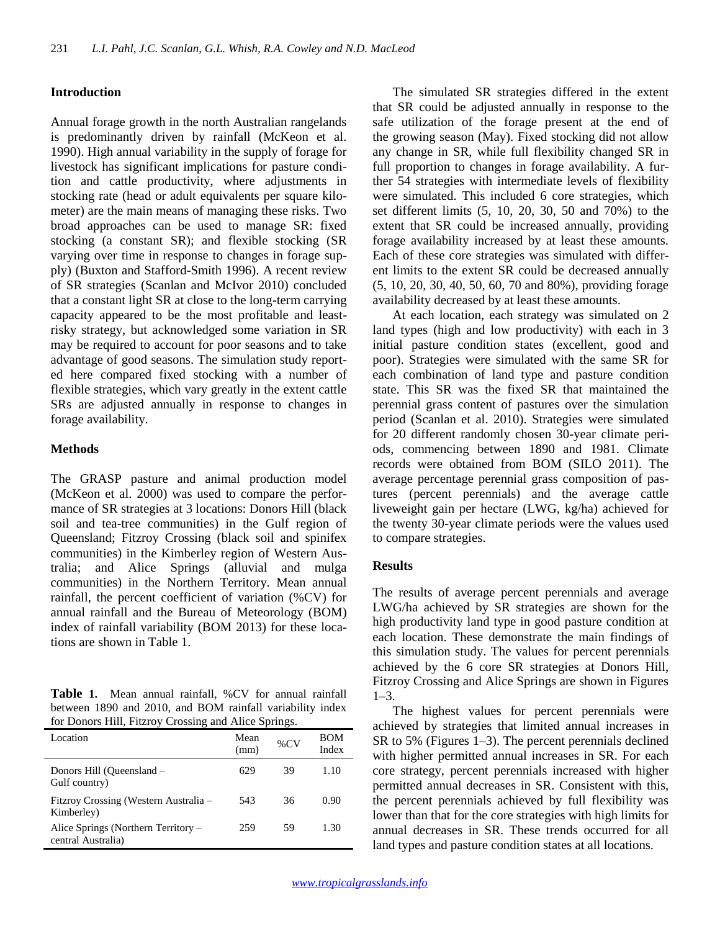## **Introduction**

Annual forage growth in the north Australian rangelands is predominantly driven by rainfall (McKeon et al. 1990). High annual variability in the supply of forage for livestock has significant implications for pasture condition and cattle productivity, where adjustments in stocking rate (head or adult equivalents per square kilometer) are the main means of managing these risks. Two broad approaches can be used to manage SR: fixed stocking (a constant SR); and flexible stocking (SR varying over time in response to changes in forage supply) (Buxton and Stafford-Smith 1996). A recent review of SR strategies (Scanlan and McIvor 2010) concluded that a constant light SR at close to the long-term carrying capacity appeared to be the most profitable and leastrisky strategy, but acknowledged some variation in SR may be required to account for poor seasons and to take advantage of good seasons. The simulation study reported here compared fixed stocking with a number of flexible strategies, which vary greatly in the extent cattle SRs are adjusted annually in response to changes in forage availability.

#### **Methods**

The GRASP pasture and animal production model (McKeon et al*.* 2000) was used to compare the performance of SR strategies at 3 locations: Donors Hill (black soil and tea-tree communities) in the Gulf region of Queensland; Fitzroy Crossing (black soil and spinifex communities) in the Kimberley region of Western Australia; and Alice Springs (alluvial and mulga communities) in the Northern Territory. Mean annual rainfall, the percent coefficient of variation (%CV) for annual rainfall and the Bureau of Meteorology (BOM) index of rainfall variability (BOM 2013) for these locations are shown in Table 1.

**Table 1.** Mean annual rainfall, %CV for annual rainfall between 1890 and 2010, and BOM rainfall variability index for Donors Hill, Fitzroy Crossing and Alice Springs.

| Location                                                  | Mean<br>(mm) | $\%$ CV | BOM<br>Index |
|-----------------------------------------------------------|--------------|---------|--------------|
| Donors Hill (Queensland -<br>Gulf country)                | 629          | 39      | 1.10         |
| Fitzroy Crossing (Western Australia –<br>Kimberley)       | 543          | 36      | 0.90         |
| Alice Springs (Northern Territory –<br>central Australia) | 259          | 59      | 1.30         |

The simulated SR strategies differed in the extent that SR could be adjusted annually in response to the safe utilization of the forage present at the end of the growing season (May). Fixed stocking did not allow any change in SR, while full flexibility changed SR in full proportion to changes in forage availability. A further 54 strategies with intermediate levels of flexibility were simulated. This included 6 core strategies, which set different limits (5, 10, 20, 30, 50 and 70%) to the extent that SR could be increased annually, providing forage availability increased by at least these amounts. Each of these core strategies was simulated with different limits to the extent SR could be decreased annually (5, 10, 20, 30, 40, 50, 60, 70 and 80%), providing forage availability decreased by at least these amounts.

At each location, each strategy was simulated on 2 land types (high and low productivity) with each in 3 initial pasture condition states (excellent, good and poor). Strategies were simulated with the same SR for each combination of land type and pasture condition state. This SR was the fixed SR that maintained the perennial grass content of pastures over the simulation period (Scanlan et al. 2010). Strategies were simulated for 20 different randomly chosen 30-year climate periods, commencing between 1890 and 1981. Climate records were obtained from BOM (SILO 2011). The average percentage perennial grass composition of pastures (percent perennials) and the average cattle liveweight gain per hectare (LWG, kg/ha) achieved for the twenty 30-year climate periods were the values used to compare strategies.

## **Results**

The results of average percent perennials and average LWG/ha achieved by SR strategies are shown for the high productivity land type in good pasture condition at each location. These demonstrate the main findings of this simulation study. The values for percent perennials achieved by the 6 core SR strategies at Donors Hill, Fitzroy Crossing and Alice Springs are shown in Figures  $1-3.$ 

The highest values for percent perennials were achieved by strategies that limited annual increases in SR to 5% (Figures 1–3). The percent perennials declined with higher permitted annual increases in SR. For each core strategy, percent perennials increased with higher permitted annual decreases in SR. Consistent with this, the percent perennials achieved by full flexibility was lower than that for the core strategies with high limits for annual decreases in SR. These trends occurred for all land types and pasture condition states at all locations.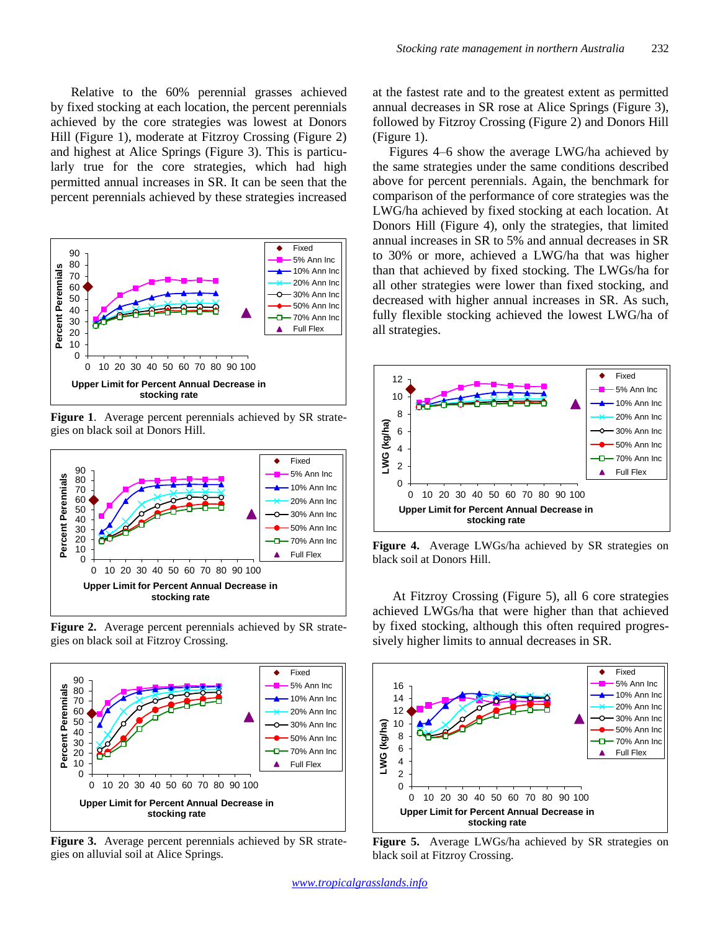Relative to the 60% perennial grasses achieved by fixed stocking at each location, the percent perennials achieved by the core strategies was lowest at Donors Hill (Figure 1), moderate at Fitzroy Crossing (Figure 2) and highest at Alice Springs (Figure 3). This is particularly true for the core strategies, which had high permitted annual increases in SR. It can be seen that the percent perennials achieved by these strategies increased



**Figure 1**. Average percent perennials achieved by SR strategies on black soil at Donors Hill.



**Figure 2.** Average percent perennials achieved by SR strategies on black soil at Fitzroy Crossing.



**Figure 3.** Average percent perennials achieved by SR strategies on alluvial soil at Alice Springs.

at the fastest rate and to the greatest extent as permitted annual decreases in SR rose at Alice Springs (Figure 3), followed by Fitzroy Crossing (Figure 2) and Donors Hill (Figure 1).

Figures 4–6 show the average LWG/ha achieved by the same strategies under the same conditions described above for percent perennials. Again, the benchmark for comparison of the performance of core strategies was the LWG/ha achieved by fixed stocking at each location. At Donors Hill (Figure 4), only the strategies, that limited annual increases in SR to 5% and annual decreases in SR to 30% or more, achieved a LWG/ha that was higher than that achieved by fixed stocking. The LWGs/ha for all other strategies were lower than fixed stocking, and decreased with higher annual increases in SR. As such, fully flexible stocking achieved the lowest LWG/ha of all strategies.



**Figure 4.** Average LWGs/ha achieved by SR strategies on black soil at Donors Hill.

At Fitzroy Crossing (Figure 5), all 6 core strategies achieved LWGs/ha that were higher than that achieved by fixed stocking, although this often required progressively higher limits to annual decreases in SR.



**Figure 5.** Average LWGs/ha achieved by SR strategies on black soil at Fitzroy Crossing.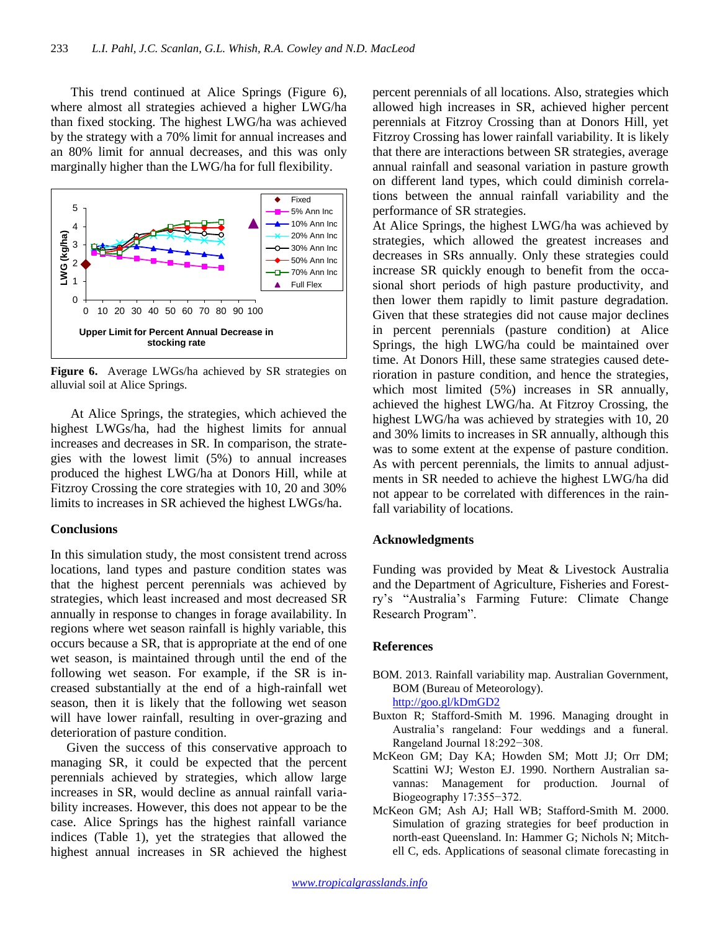This trend continued at Alice Springs (Figure 6), where almost all strategies achieved a higher LWG/ha than fixed stocking. The highest LWG/ha was achieved by the strategy with a 70% limit for annual increases and an 80% limit for annual decreases, and this was only marginally higher than the LWG/ha for full flexibility.



**Figure 6.** Average LWGs/ha achieved by SR strategies on alluvial soil at Alice Springs.

At Alice Springs, the strategies, which achieved the highest LWGs/ha, had the highest limits for annual increases and decreases in SR. In comparison, the strategies with the lowest limit (5%) to annual increases produced the highest LWG/ha at Donors Hill, while at Fitzroy Crossing the core strategies with 10, 20 and 30% limits to increases in SR achieved the highest LWGs/ha.

## **Conclusions**

In this simulation study, the most consistent trend across locations, land types and pasture condition states was that the highest percent perennials was achieved by strategies, which least increased and most decreased SR annually in response to changes in forage availability. In regions where wet season rainfall is highly variable, this occurs because a SR, that is appropriate at the end of one wet season, is maintained through until the end of the following wet season. For example, if the SR is increased substantially at the end of a high-rainfall wet season, then it is likely that the following wet season will have lower rainfall, resulting in over-grazing and deterioration of pasture condition.

Given the success of this conservative approach to managing SR, it could be expected that the percent perennials achieved by strategies, which allow large increases in SR, would decline as annual rainfall variability increases. However, this does not appear to be the case. Alice Springs has the highest rainfall variance indices (Table 1), yet the strategies that allowed the highest annual increases in SR achieved the highest percent perennials of all locations. Also, strategies which allowed high increases in SR, achieved higher percent perennials at Fitzroy Crossing than at Donors Hill, yet Fitzroy Crossing has lower rainfall variability. It is likely that there are interactions between SR strategies, average annual rainfall and seasonal variation in pasture growth on different land types, which could diminish correlations between the annual rainfall variability and the performance of SR strategies.

At Alice Springs, the highest LWG/ha was achieved by strategies, which allowed the greatest increases and decreases in SRs annually. Only these strategies could increase SR quickly enough to benefit from the occasional short periods of high pasture productivity, and then lower them rapidly to limit pasture degradation. Given that these strategies did not cause major declines in percent perennials (pasture condition) at Alice Springs, the high LWG/ha could be maintained over time. At Donors Hill, these same strategies caused deterioration in pasture condition, and hence the strategies, which most limited (5%) increases in SR annually, achieved the highest LWG/ha. At Fitzroy Crossing, the highest LWG/ha was achieved by strategies with 10, 20 and 30% limits to increases in SR annually, although this was to some extent at the expense of pasture condition. As with percent perennials, the limits to annual adjustments in SR needed to achieve the highest LWG/ha did not appear to be correlated with differences in the rainfall variability of locations.

## **Acknowledgments**

Funding was provided by Meat & Livestock Australia and the Department of Agriculture, Fisheries and Forestry's "Australia's Farming Future: Climate Change Research Program".

# **References**

- BOM. 2013. Rainfall variability map. Australian Government, BOM (Bureau of Meteorology). http://goo.gl/kDmGD2
- Buxton R; Stafford-Smith M. 1996. Managing drought in Australia's rangeland: Four weddings and a funeral. Rangeland Journal 18:292−308.
- McKeon GM; Day KA; Howden SM; Mott JJ; Orr DM; Scattini WJ; Weston EJ. 1990. Northern Australian savannas: Management for production. Journal of Biogeography 17:355−372.
- McKeon GM; Ash AJ; Hall WB; Stafford-Smith M. 2000. Simulation of grazing strategies for beef production in north-east Queensland. In: Hammer G; Nichols N; Mitchell C, eds. Applications of seasonal climate forecasting in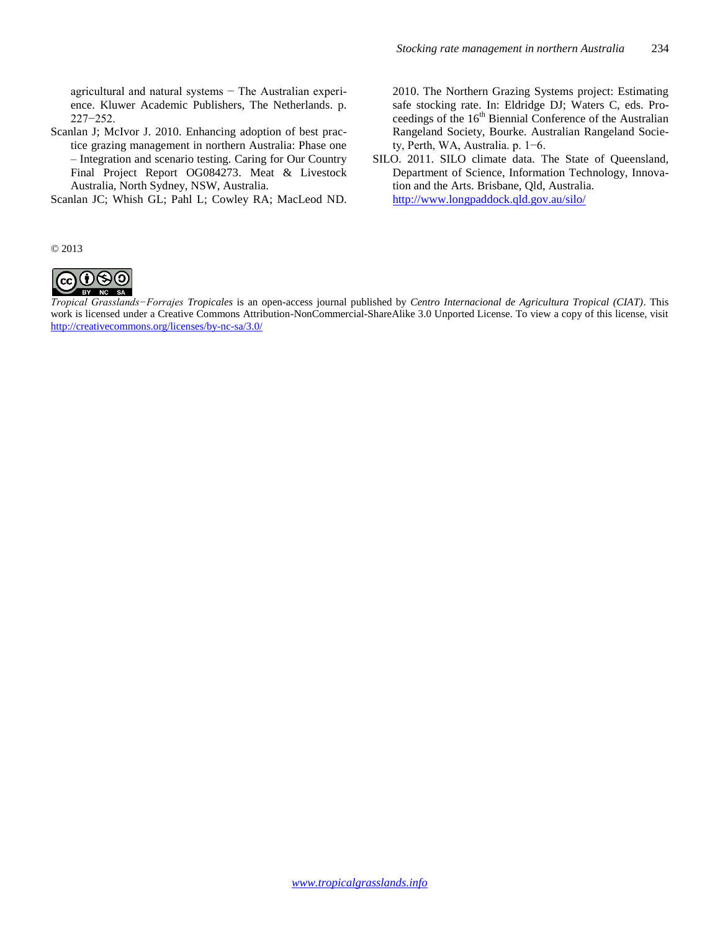agricultural and natural systems − The Australian experience. Kluwer Academic Publishers, The Netherlands. p. 227−252.

Scanlan J; McIvor J. 2010. Enhancing adoption of best practice grazing management in northern Australia: Phase one – Integration and scenario testing. Caring for Our Country Final Project Report OG084273. Meat & Livestock Australia, North Sydney, NSW, Australia.

Scanlan JC; Whish GL; Pahl L; Cowley RA; MacLeod ND.

2010. The Northern Grazing Systems project: Estimating safe stocking rate. In: Eldridge DJ; Waters C, eds. Proceedings of the 16<sup>th</sup> Biennial Conference of the Australian Rangeland Society, Bourke. Australian Rangeland Society, Perth, WA, Australia. p. 1−6.

SILO. 2011. SILO climate data. The State of Queensland, Department of Science, Information Technology, Innovation and the Arts. Brisbane, Qld, Australia. http://www.longpaddock.qld.gov.au/silo/

© 2013



*Tropical Grasslands−Forrajes Tropicales* is an open-access journal published by *Centro Internacional de Agricultura Tropical (CIAT)*. This work is licensed under a Creative Commons Attribution-NonCommercial-ShareAlike 3.0 Unported License. To view a copy of this license, visit <http://creativecommons.org/licenses/by-nc-sa/3.0/>